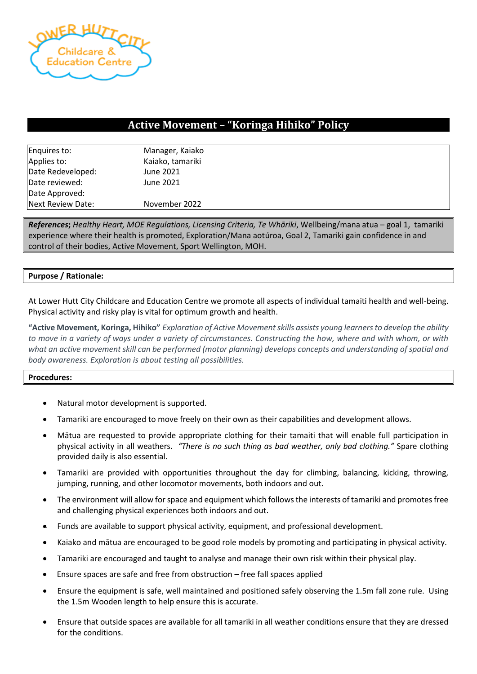

## **Active Movement – "Koringa Hihiko" Policy**

| Enquires to:      | Manager, Kaiako  |  |
|-------------------|------------------|--|
| Applies to:       | Kaiako, tamariki |  |
| Date Redeveloped: | June 2021        |  |
| Date reviewed:    | June 2021        |  |
| Date Approved:    |                  |  |
| Next Review Date: | November 2022    |  |

*References***;** *Healthy Heart, MOE Regulations, Licensing Criteria, Te Whāriki*, Wellbeing/mana atua – goal 1, tamariki experience where their health is promoted, Exploration/Mana aotúroa, Goal 2, Tamariki gain confidence in and control of their bodies, Active Movement, Sport Wellington, MOH.

## **Purpose / Rationale:**

At Lower Hutt City Childcare and Education Centre we promote all aspects of individual tamaiti health and well-being. Physical activity and risky play is vital for optimum growth and health.

**"Active Movement, Koringa, Hihiko"** *Exploration of Active Movement skills assists young learners to develop the ability to move in a variety of ways under a variety of circumstances. Constructing the how, where and with whom, or with what an active movement skill can be performed (motor planning) develops concepts and understanding of spatial and body awareness. Exploration is about testing all possibilities.*

## **Procedures:**

- Natural motor development is supported.
- Tamariki are encouraged to move freely on their own as their capabilities and development allows.
- Mātua are requested to provide appropriate clothing for their tamaiti that will enable full participation in physical activity in all weathers. *"There is no such thing as bad weather, only bad clothing."* Spare clothing provided daily is also essential.
- Tamariki are provided with opportunities throughout the day for climbing, balancing, kicking, throwing, jumping, running, and other locomotor movements, both indoors and out.
- The environment will allow for space and equipment which follows the interests of tamariki and promotes free and challenging physical experiences both indoors and out.
- Funds are available to support physical activity, equipment, and professional development.
- Kaiako and mātua are encouraged to be good role models by promoting and participating in physical activity.
- Tamariki are encouraged and taught to analyse and manage their own risk within their physical play.
- Ensure spaces are safe and free from obstruction free fall spaces applied
- Ensure the equipment is safe, well maintained and positioned safely observing the 1.5m fall zone rule. Using the 1.5m Wooden length to help ensure this is accurate.
- Ensure that outside spaces are available for all tamariki in all weather conditions ensure that they are dressed for the conditions.